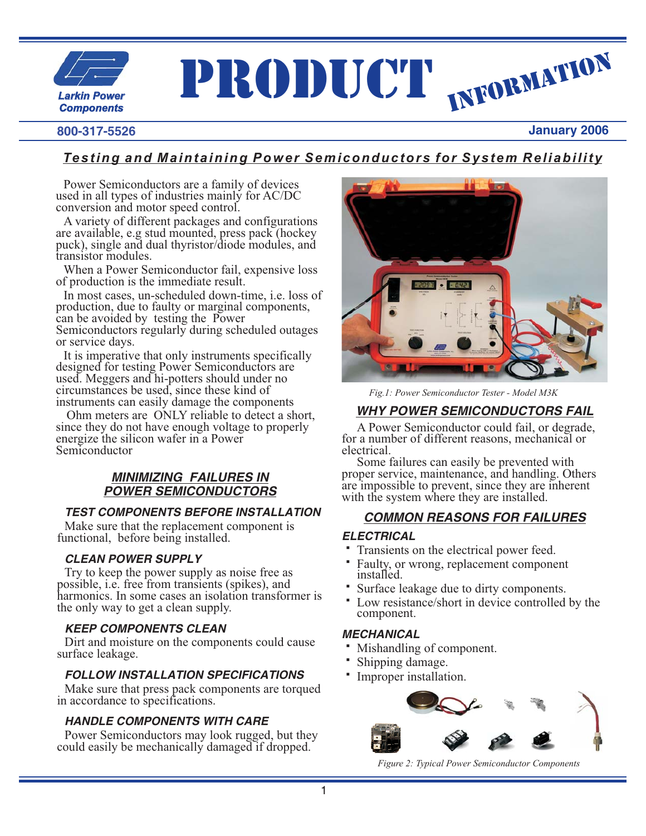

# PRODUCT INFORMATION

# **800-317-5526**

# **January 2006**

# *Testing and Maintaining Power Semiconductors for System Reliability*

Power Semiconductors are a family of devices used in all types of industries mainly for AC/DC conversion and motor speed control.

A variety of different packages and configurations are available, e.g stud mounted, press pack (hockey puck), single and dual thyristor/diode modules, and transistor modules.

When a Power Semiconductor fail, expensive loss of production is the immediate result.

In most cases, un-scheduled down-time, i.e. loss of production, due to faulty or marginal components, can be avoided by testing the Power Semiconductors regularly during scheduled outages or service days.

It is imperative that only instruments specifically designed for testing Power Semiconductors are used. Meggers and hi-potters should under no circumstances be used, since these kind of instruments can easily damage the components

Ohm meters are ONLY reliable to detect a short, since they do not have enough voltage to properly energize the silicon wafer in a Power Semiconductor

## *MINIMIZING FAILURES IN POWER SEMICONDUCTORS*

# *TEST COMPONENTS BEFORE INSTALLATION*

Make sure that the replacement component is functional, before being installed.

# *CLEAN POWER SUPPLY*

Try to keep the power supply as noise free as possible, i.e. free from transients (spikes), and harmonics. In some cases an isolation transformer is the only way to get a clean supply.

# *KEEP COMPONENTS CLEAN*

Dirt and moisture on the components could cause surface leakage.

# *FOLLOW INSTALLATION SPECIFICATIONS*

Make sure that press pack components are torqued in accordance to specifications.

# *HANDLE COMPONENTS WITH CARE*

Power Semiconductors may look rugged, but they could easily be mechanically damaged if dropped.



*Fig.1: Power Semiconductor Tester - Model M3K*

# *WHY POWER SEMICONDUCTORS FAIL*

A Power Semiconductor could fail, or degrade, for a number of different reasons, mechanical or electrical.

Some failures can easily be prevented with proper service, maintenance, and handling. Others are impossible to prevent, since they are inherent with the system where they are installed.

# *COMMON REASONS FOR FAILURES*

#### *ELECTRICAL* <u>EL</u>

- Transients on the electrical power feed.
- Faulty, or wrong, replacement component installed. -
- Surface leakage due to dirty components.
- Low resistance/short in device controlled by the component.

#### *MECHANICAL* M

- Mishandling of component. -
- Shipping damage.
- Improper installation.



*Figure 2: Typical Power Semiconductor Components*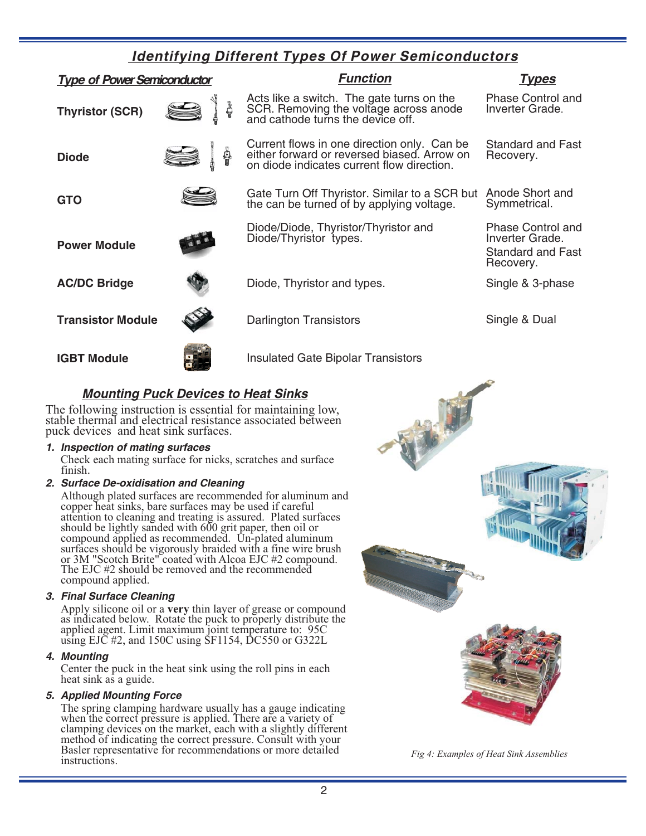# *Identifying Different Types Of Power Semiconductors*

| <b>Type of Power Semiconductor</b> |  | <b>Function</b>                                                                                                                          | Types                                                                         |
|------------------------------------|--|------------------------------------------------------------------------------------------------------------------------------------------|-------------------------------------------------------------------------------|
| <b>Thyristor (SCR)</b>             |  | Acts like a switch. The gate turns on the<br>SCR. Removing the voltage across anode<br>and cathode turns the device off.                 | Phase Control and<br>Inverter Grade.                                          |
| <b>Diode</b>                       |  | Current flows in one direction only. Can be<br>either forward or reversed biased. Arrow on<br>on diode indicates current flow direction. | Standard and Fast<br>Recovery.                                                |
| <b>GTO</b>                         |  | Gate Turn Off Thyristor. Similar to a SCR but<br>the can be turned of by applying voltage.                                               | Anode Short and<br>Symmetrical.                                               |
| <b>Power Module</b>                |  | Diode/Diode, Thyristor/Thyristor and<br>Diode/Thyristor types.                                                                           | <b>Phase Control and</b><br>Inverter Grade.<br>Standard and Fast<br>Recovery. |
| <b>AC/DC Bridge</b>                |  | Diode, Thyristor and types.                                                                                                              | Single & 3-phase                                                              |
| <b>Transistor Module</b>           |  | Darlington Transistors                                                                                                                   | Single & Dual                                                                 |
| <b>IGBT Module</b>                 |  | <b>Insulated Gate Bipolar Transistors</b>                                                                                                |                                                                               |

# *Mounting Puck Devices to Heat Sinks*

The following instruction is essential for maintaining low, stable thermal and electrical resistance associated between puck devices and heat sink surfaces.

## *1. Inspection of mating surfaces*

. finish Check each mating surface for nicks, scratches and surface

## *2. Surface De-oxidisation and Cleaning*

Although plated surfaces are recommended for aluminum and copper heat sinks, bare surfaces may be used if careful attention to cleaning and treating is assured. Plated surfaces should be lightly sanded with 600 grit paper, then oil or compound applied as recommended. Un-plated aluminum surfaces should be vigorously braided with a fine wire brush or 3M "Scotch Brite" coated with Alcoa EJC #2 compound. The EJC #2 should be removed and the recommended compound applied.

## *3. Final Surface Cleaning*

Apply silicone oil or a very thin layer of grease or compound as indicated below. Rotate the puck to properly distribute the applied agent. Limit maximum joint temperature to: 95C using EJC #2, and 150C using SF1154, DC550 or G322L

#### *4. Mounting*

Center the puck in the heat sink using the roll pins in each heat sink as a guide.

#### *5. Applied Mounting Force*

The spring clamping hardware usually has a gauge indicating when the correct pressure is applied. There are a variety of clamping devices on the market, each with a slightly different method of indicating the correct pressure. Consult with your Basler representative for recommendations or more detailed instructions.



*Fig 4: Examples of Heat Sink Assemblies*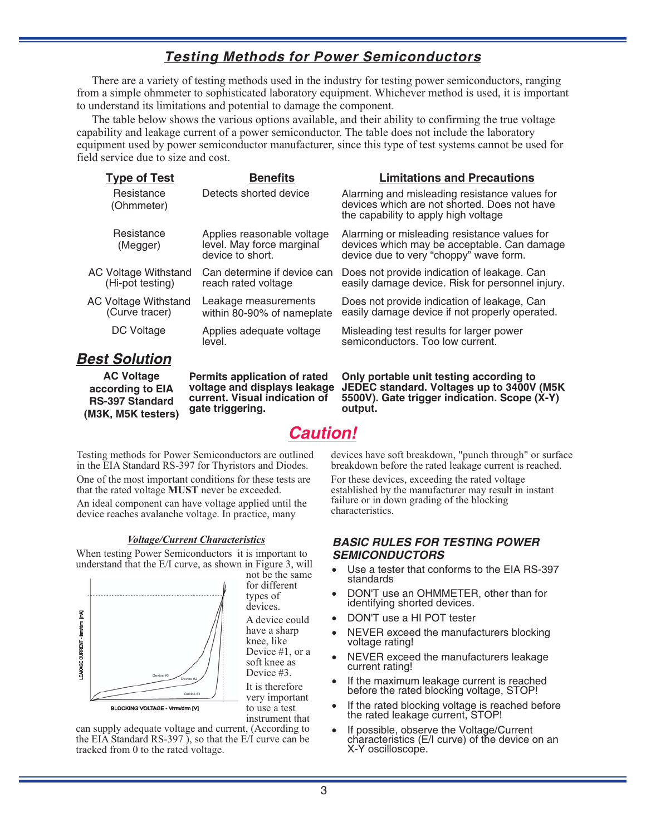# *Testing Methods for Power Semiconductors*

There are a variety of testing methods used in the industry for testing power semiconductors, ranging from a simple ohmmeter to sophisticated laboratory equipment. Whichever method is used, it is important to understand its limitations and potential to damage the component.

The table below shows the various options available, and their ability to confirming the true voltage capability and leakage current of a power semiconductor. The table does not include the laboratory equipment used by power semiconductor manufacturer, since this type of test systems cannot be used for field service due to size and cost.

| <b>Type of Test</b>                             | <b>Benefits</b>                                                             | <b>Limitations and Precautions</b>                                                                                                    |
|-------------------------------------------------|-----------------------------------------------------------------------------|---------------------------------------------------------------------------------------------------------------------------------------|
| Resistance<br>(Ohmmeter)                        | Detects shorted device                                                      | Alarming and misleading resistance values for<br>devices which are not shorted. Does not have<br>the capability to apply high voltage |
| Resistance<br>(Megger)                          | Applies reasonable voltage<br>level. May force marginal<br>device to short. | Alarming or misleading resistance values for<br>devices which may be acceptable. Can damage<br>device due to very "choppy" wave form. |
| <b>AC Voltage Withstand</b><br>(Hi-pot testing) | Can determine if device can<br>reach rated voltage                          | Does not provide indication of leakage. Can<br>easily damage device. Risk for personnel injury.                                       |
| <b>AC Voltage Withstand</b><br>(Curve tracer)   | Leakage measurements<br>within 80-90% of nameplate                          | Does not provide indication of leakage, Can<br>easily damage device if not properly operated.                                         |
| DC Voltage                                      | Applies adequate voltage<br>level.                                          | Misleading test results for larger power<br>semiconductors. Too low current.                                                          |
| aet Colution                                    |                                                                             |                                                                                                                                       |

# *Best Solution*

**AC Voltage according to EIA RS-397 Standard (M3K, M5K testers)**

**Permits application of rated voltage and displays leakage current. Visual indication of gate triggering.**

*Caution!*

**output.**

Testing methods for Power Semiconductors are outlined in the EIA Standard RS-397 for Thyristors and Diodes.

One of the most important conditions for these tests are that the rated voltage **MUST** never be exceeded. An ideal component can have voltage applied until the device reaches avalanche voltage. In practice, many

When testing Power Semiconductors it is important to understand that the E/I curve, as shown in Figure 3, will



not be the same for different types of devices.

A device could have a sharp knee, like Device #1, or a soft knee as Device #3.

It is therefore very important to use a test instrument that

can supply adequate voltage and current, (According to the EIA Standard RS-397 ), so that the E/I curve can be tracked from 0 to the rated voltage.

devices have soft breakdown, "punch through" or surface breakdown before the rated leakage current is reached.

For these devices, exceeding the rated voltage established by the manufacturer may result in instant failure or in down grading of the blocking characteristics.

**Only portable unit testing according to JEDEC standard. Voltages up to 3400V (M5K 5500V). Gate trigger indication. Scope (X-Y)**

## *BASIC RULES FOR TESTING POWER SEMICONDUCTORS*

- -Use a tester that conforms to the EIA RS-397 standards
- -DON'T use an OHMMETER, other than for identifying shorted devices.
- -DON'T use a HI POT tester
- -NEVER exceed the manufacturers blocking voltage rating!
- -NEVER exceed the manufacturers leakage current rating!
- -If the maximum leakage current is reached before the rated blocking voltage, STOP!
- -If the rated blocking voltage is reached before the rated leakage current, STOP!
- characteristics (E/I curve) of the device on an If possible, observe the Voltage/Current X-Y oscilloscope.